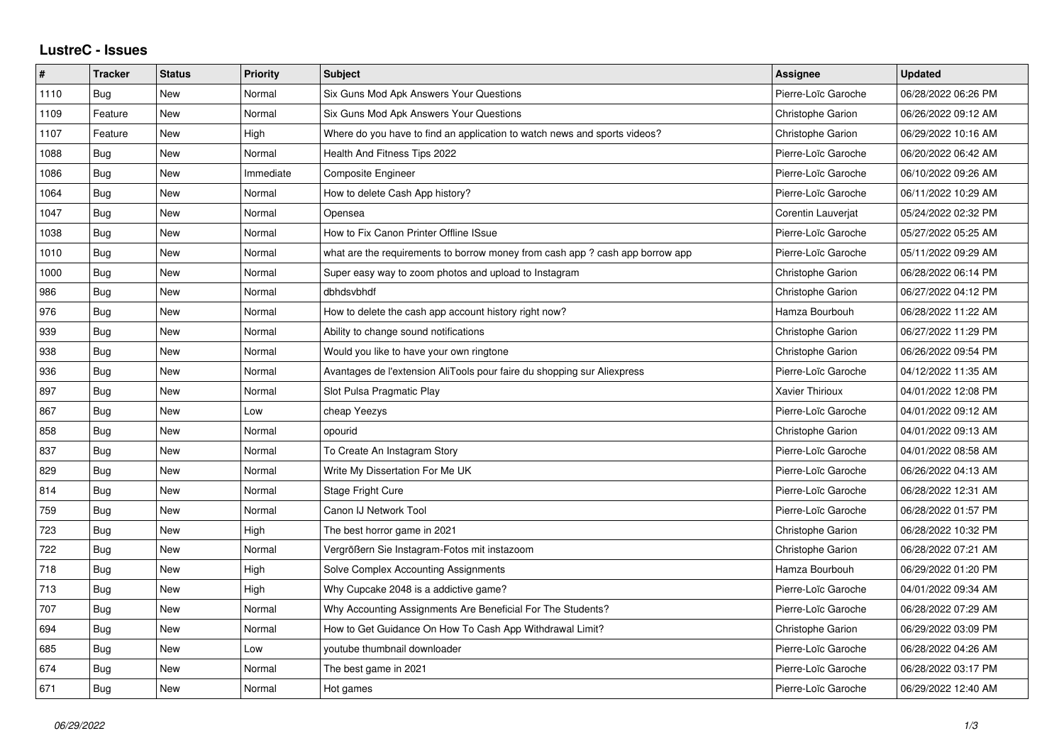## **LustreC - Issues**

| #    | <b>Tracker</b> | <b>Status</b> | <b>Priority</b> | <b>Subject</b>                                                                | Assignee            | <b>Updated</b>      |
|------|----------------|---------------|-----------------|-------------------------------------------------------------------------------|---------------------|---------------------|
| 1110 | Bug            | New           | Normal          | Six Guns Mod Apk Answers Your Questions                                       | Pierre-Loïc Garoche | 06/28/2022 06:26 PM |
| 1109 | Feature        | New           | Normal          | Six Guns Mod Apk Answers Your Questions                                       | Christophe Garion   | 06/26/2022 09:12 AM |
| 1107 | Feature        | <b>New</b>    | High            | Where do you have to find an application to watch news and sports videos?     | Christophe Garion   | 06/29/2022 10:16 AM |
| 1088 | Bug            | New           | Normal          | Health And Fitness Tips 2022                                                  | Pierre-Loïc Garoche | 06/20/2022 06:42 AM |
| 1086 | Bug            | New           | Immediate       | <b>Composite Engineer</b>                                                     | Pierre-Loïc Garoche | 06/10/2022 09:26 AM |
| 1064 | <b>Bug</b>     | New           | Normal          | How to delete Cash App history?                                               | Pierre-Loïc Garoche | 06/11/2022 10:29 AM |
| 1047 | Bug            | New           | Normal          | Opensea                                                                       | Corentin Lauverjat  | 05/24/2022 02:32 PM |
| 1038 | Bug            | <b>New</b>    | Normal          | How to Fix Canon Printer Offline ISsue                                        | Pierre-Loïc Garoche | 05/27/2022 05:25 AM |
| 1010 | Bug            | New           | Normal          | what are the requirements to borrow money from cash app ? cash app borrow app | Pierre-Loïc Garoche | 05/11/2022 09:29 AM |
| 1000 | <b>Bug</b>     | New           | Normal          | Super easy way to zoom photos and upload to Instagram                         | Christophe Garion   | 06/28/2022 06:14 PM |
| 986  | <b>Bug</b>     | New           | Normal          | dbhdsvbhdf                                                                    | Christophe Garion   | 06/27/2022 04:12 PM |
| 976  | Bug            | New           | Normal          | How to delete the cash app account history right now?                         | Hamza Bourbouh      | 06/28/2022 11:22 AM |
| 939  | Bug            | <b>New</b>    | Normal          | Ability to change sound notifications                                         | Christophe Garion   | 06/27/2022 11:29 PM |
| 938  | Bug            | New           | Normal          | Would you like to have your own ringtone                                      | Christophe Garion   | 06/26/2022 09:54 PM |
| 936  | Bug            | <b>New</b>    | Normal          | Avantages de l'extension AliTools pour faire du shopping sur Aliexpress       | Pierre-Loïc Garoche | 04/12/2022 11:35 AM |
| 897  | Bug            | <b>New</b>    | Normal          | Slot Pulsa Pragmatic Play                                                     | Xavier Thirioux     | 04/01/2022 12:08 PM |
| 867  | Bug            | New           | Low             | cheap Yeezys                                                                  | Pierre-Loïc Garoche | 04/01/2022 09:12 AM |
| 858  | Bug            | New           | Normal          | opourid                                                                       | Christophe Garion   | 04/01/2022 09:13 AM |
| 837  | <b>Bug</b>     | <b>New</b>    | Normal          | To Create An Instagram Story                                                  | Pierre-Loïc Garoche | 04/01/2022 08:58 AM |
| 829  | Bug            | <b>New</b>    | Normal          | Write My Dissertation For Me UK                                               | Pierre-Loïc Garoche | 06/26/2022 04:13 AM |
| 814  | Bug            | <b>New</b>    | Normal          | Stage Fright Cure                                                             | Pierre-Loïc Garoche | 06/28/2022 12:31 AM |
| 759  | Bug            | New           | Normal          | Canon IJ Network Tool                                                         | Pierre-Loïc Garoche | 06/28/2022 01:57 PM |
| 723  | Bug            | <b>New</b>    | High            | The best horror game in 2021                                                  | Christophe Garion   | 06/28/2022 10:32 PM |
| 722  | Bug            | New           | Normal          | Vergrößern Sie Instagram-Fotos mit instazoom                                  | Christophe Garion   | 06/28/2022 07:21 AM |
| 718  | <b>Bug</b>     | <b>New</b>    | High            | Solve Complex Accounting Assignments                                          | Hamza Bourbouh      | 06/29/2022 01:20 PM |
| 713  | Bug            | <b>New</b>    | High            | Why Cupcake 2048 is a addictive game?                                         | Pierre-Loïc Garoche | 04/01/2022 09:34 AM |
| 707  | Bug            | New           | Normal          | Why Accounting Assignments Are Beneficial For The Students?                   | Pierre-Loïc Garoche | 06/28/2022 07:29 AM |
| 694  | Bug            | New           | Normal          | How to Get Guidance On How To Cash App Withdrawal Limit?                      | Christophe Garion   | 06/29/2022 03:09 PM |
| 685  | <b>Bug</b>     | <b>New</b>    | Low             | youtube thumbnail downloader                                                  | Pierre-Loïc Garoche | 06/28/2022 04:26 AM |
| 674  | Bug            | <b>New</b>    | Normal          | The best game in 2021                                                         | Pierre-Loïc Garoche | 06/28/2022 03:17 PM |
| 671  | Bug            | <b>New</b>    | Normal          | Hot games                                                                     | Pierre-Loïc Garoche | 06/29/2022 12:40 AM |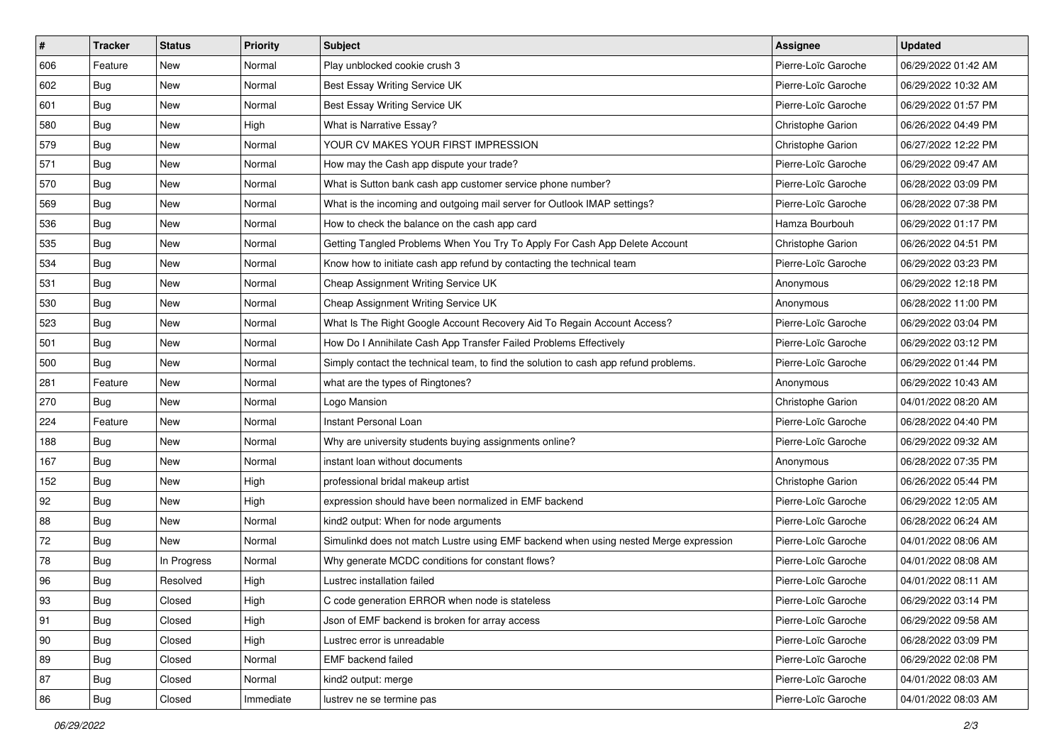| $\sharp$     | <b>Tracker</b> | <b>Status</b> | <b>Priority</b> | <b>Subject</b>                                                                       | <b>Assignee</b>          | <b>Updated</b>      |
|--------------|----------------|---------------|-----------------|--------------------------------------------------------------------------------------|--------------------------|---------------------|
| 606          | Feature        | New           | Normal          | Play unblocked cookie crush 3                                                        | Pierre-Loïc Garoche      | 06/29/2022 01:42 AM |
| 602          | Bug            | <b>New</b>    | Normal          | Best Essay Writing Service UK                                                        | Pierre-Loïc Garoche      | 06/29/2022 10:32 AM |
| 601          | Bug            | New           | Normal          | Best Essay Writing Service UK                                                        | Pierre-Loïc Garoche      | 06/29/2022 01:57 PM |
| 580          | Bug            | New           | High            | What is Narrative Essay?                                                             | <b>Christophe Garion</b> | 06/26/2022 04:49 PM |
| 579          | Bug            | New           | Normal          | YOUR CV MAKES YOUR FIRST IMPRESSION                                                  | Christophe Garion        | 06/27/2022 12:22 PM |
| 571          | Bug            | New           | Normal          | How may the Cash app dispute your trade?                                             | Pierre-Loïc Garoche      | 06/29/2022 09:47 AM |
| 570          | Bug            | New           | Normal          | What is Sutton bank cash app customer service phone number?                          | Pierre-Loïc Garoche      | 06/28/2022 03:09 PM |
| 569          | Bug            | New           | Normal          | What is the incoming and outgoing mail server for Outlook IMAP settings?             | Pierre-Loïc Garoche      | 06/28/2022 07:38 PM |
| 536          | Bug            | <b>New</b>    | Normal          | How to check the balance on the cash app card                                        | Hamza Bourbouh           | 06/29/2022 01:17 PM |
| 535          | Bug            | <b>New</b>    | Normal          | Getting Tangled Problems When You Try To Apply For Cash App Delete Account           | Christophe Garion        | 06/26/2022 04:51 PM |
| 534          | Bug            | New           | Normal          | Know how to initiate cash app refund by contacting the technical team                | Pierre-Loïc Garoche      | 06/29/2022 03:23 PM |
| 531          | Bug            | New           | Normal          | Cheap Assignment Writing Service UK                                                  | Anonymous                | 06/29/2022 12:18 PM |
| 530          | Bug            | New           | Normal          | Cheap Assignment Writing Service UK                                                  | Anonymous                | 06/28/2022 11:00 PM |
| 523          | Bug            | New           | Normal          | What Is The Right Google Account Recovery Aid To Regain Account Access?              | Pierre-Loïc Garoche      | 06/29/2022 03:04 PM |
| 501          | Bug            | New           | Normal          | How Do I Annihilate Cash App Transfer Failed Problems Effectively                    | Pierre-Loïc Garoche      | 06/29/2022 03:12 PM |
| 500          | Bug            | New           | Normal          | Simply contact the technical team, to find the solution to cash app refund problems. | Pierre-Loïc Garoche      | 06/29/2022 01:44 PM |
| 281          | Feature        | New           | Normal          | what are the types of Ringtones?                                                     | Anonymous                | 06/29/2022 10:43 AM |
| 270          | Bug            | New           | Normal          | Logo Mansion                                                                         | Christophe Garion        | 04/01/2022 08:20 AM |
| 224          | Feature        | New           | Normal          | Instant Personal Loan                                                                | Pierre-Loïc Garoche      | 06/28/2022 04:40 PM |
| 188          | Bug            | <b>New</b>    | Normal          | Why are university students buying assignments online?                               | Pierre-Loïc Garoche      | 06/29/2022 09:32 AM |
| 167          | Bug            | New           | Normal          | instant loan without documents                                                       | Anonymous                | 06/28/2022 07:35 PM |
| 152          | Bug            | <b>New</b>    | High            | professional bridal makeup artist                                                    | Christophe Garion        | 06/26/2022 05:44 PM |
| 92           | Bug            | <b>New</b>    | High            | expression should have been normalized in EMF backend                                | Pierre-Loïc Garoche      | 06/29/2022 12:05 AM |
| 88           | Bug            | New           | Normal          | kind2 output: When for node arguments                                                | Pierre-Loïc Garoche      | 06/28/2022 06:24 AM |
| 72           | Bug            | <b>New</b>    | Normal          | Simulinkd does not match Lustre using EMF backend when using nested Merge expression | Pierre-Loïc Garoche      | 04/01/2022 08:06 AM |
| 78           | Bug            | In Progress   | Normal          | Why generate MCDC conditions for constant flows?                                     | Pierre-Loïc Garoche      | 04/01/2022 08:08 AM |
| 96           | Bug            | Resolved      | High            | Lustrec installation failed                                                          | Pierre-Loïc Garoche      | 04/01/2022 08:11 AM |
| 93           | i Bug          | Closed        | High            | C code generation ERROR when node is stateless                                       | Pierre-Loïc Garoche      | 06/29/2022 03:14 PM |
| 91           | Bug            | Closed        | High            | Json of EMF backend is broken for array access                                       | Pierre-Loïc Garoche      | 06/29/2022 09:58 AM |
| $ 90\rangle$ | Bug            | Closed        | High            | Lustrec error is unreadable                                                          | Pierre-Loïc Garoche      | 06/28/2022 03:09 PM |
| 89           | Bug            | Closed        | Normal          | EMF backend failed                                                                   | Pierre-Loïc Garoche      | 06/29/2022 02:08 PM |
| 87           | Bug            | Closed        | Normal          | kind2 output: merge                                                                  | Pierre-Loïc Garoche      | 04/01/2022 08:03 AM |
| 86           | Bug            | Closed        | Immediate       | lustrev ne se termine pas                                                            | Pierre-Loïc Garoche      | 04/01/2022 08:03 AM |